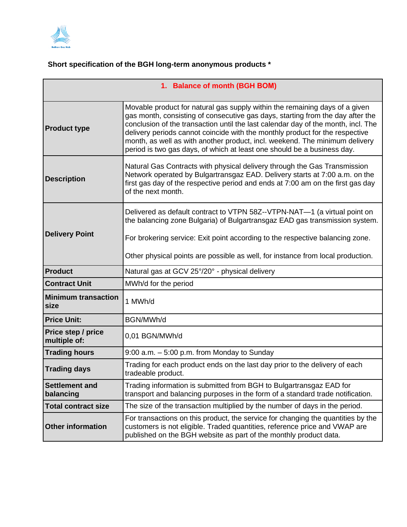

## **Short specification of the BGH long-term anonymous products \***

| 1. Balance of month (BGH BOM)      |                                                                                                                                                                                                                                                                                                                                                                                                                                                                                              |
|------------------------------------|----------------------------------------------------------------------------------------------------------------------------------------------------------------------------------------------------------------------------------------------------------------------------------------------------------------------------------------------------------------------------------------------------------------------------------------------------------------------------------------------|
| <b>Product type</b>                | Movable product for natural gas supply within the remaining days of a given<br>gas month, consisting of consecutive gas days, starting from the day after the<br>conclusion of the transaction until the last calendar day of the month, incl. The<br>delivery periods cannot coincide with the monthly product for the respective<br>month, as well as with another product, incl. weekend. The minimum delivery<br>period is two gas days, of which at least one should be a business day. |
| <b>Description</b>                 | Natural Gas Contracts with physical delivery through the Gas Transmission<br>Network operated by Bulgartransgaz EAD. Delivery starts at 7:00 a.m. on the<br>first gas day of the respective period and ends at 7:00 am on the first gas day<br>of the next month.                                                                                                                                                                                                                            |
| <b>Delivery Point</b>              | Delivered as default contract to VTPN 58Z--VTPN-NAT-1 (a virtual point on<br>the balancing zone Bulgaria) of Bulgartransgaz EAD gas transmission system.<br>For brokering service: Exit point according to the respective balancing zone.<br>Other physical points are possible as well, for instance from local production.                                                                                                                                                                 |
| <b>Product</b>                     | Natural gas at GCV 25°/20° - physical delivery                                                                                                                                                                                                                                                                                                                                                                                                                                               |
| <b>Contract Unit</b>               | MWh/d for the period                                                                                                                                                                                                                                                                                                                                                                                                                                                                         |
| <b>Minimum transaction</b><br>size | 1 MWh/d                                                                                                                                                                                                                                                                                                                                                                                                                                                                                      |
| <b>Price Unit:</b>                 | BGN/MWh/d                                                                                                                                                                                                                                                                                                                                                                                                                                                                                    |
| Price step / price<br>multiple of: | 0,01 BGN/MWh/d                                                                                                                                                                                                                                                                                                                                                                                                                                                                               |
| <b>Trading hours</b>               | $9:00$ a.m. $-5:00$ p.m. from Monday to Sunday                                                                                                                                                                                                                                                                                                                                                                                                                                               |
| <b>Trading days</b>                | Trading for each product ends on the last day prior to the delivery of each<br>tradeable product.                                                                                                                                                                                                                                                                                                                                                                                            |
| <b>Settlement and</b><br>balancing | Trading information is submitted from BGH to Bulgartransgaz EAD for<br>transport and balancing purposes in the form of a standard trade notification.                                                                                                                                                                                                                                                                                                                                        |
| <b>Total contract size</b>         | The size of the transaction multiplied by the number of days in the period.                                                                                                                                                                                                                                                                                                                                                                                                                  |
| <b>Other information</b>           | For transactions on this product, the service for changing the quantities by the<br>customers is not eligible. Traded quantities, reference price and VWAP are<br>published on the BGH website as part of the monthly product data.                                                                                                                                                                                                                                                          |